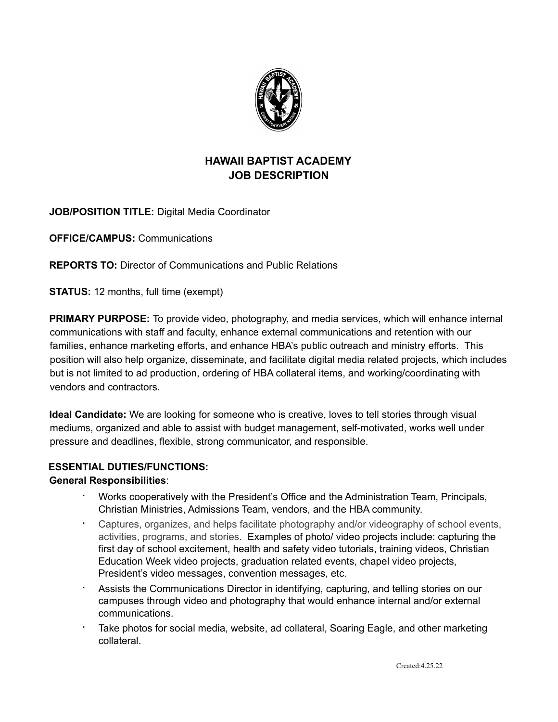

# **HAWAII BAPTIST ACADEMY JOB DESCRIPTION**

**JOB/POSITION TITLE:** Digital Media Coordinator

**OFFICE/CAMPUS:** Communications

**REPORTS TO:** Director of Communications and Public Relations

**STATUS:** 12 months, full time (exempt)

**PRIMARY PURPOSE:** To provide video, photography, and media services, which will enhance internal communications with staff and faculty, enhance external communications and retention with our families, enhance marketing efforts, and enhance HBA's public outreach and ministry efforts. This position will also help organize, disseminate, and facilitate digital media related projects, which includes but is not limited to ad production, ordering of HBA collateral items, and working/coordinating with vendors and contractors.

**Ideal Candidate:** We are looking for someone who is creative, loves to tell stories through visual mediums, organized and able to assist with budget management, self-motivated, works well under pressure and deadlines, flexible, strong communicator, and responsible.

## **ESSENTIAL DUTIES/FUNCTIONS:**

#### **General Responsibilities**:

- ∙ Works cooperatively with the President's Office and the Administration Team, Principals, Christian Ministries, Admissions Team, vendors, and the HBA community.
- ∙ Captures, organizes, and helps facilitate photography and/or videography of school events, activities, programs, and stories. Examples of photo/ video projects include: capturing the first day of school excitement, health and safety video tutorials, training videos, Christian Education Week video projects, graduation related events, chapel video projects, President's video messages, convention messages, etc.
- ∙ Assists the Communications Director in identifying, capturing, and telling stories on our campuses through video and photography that would enhance internal and/or external communications.
- ∙ Take photos for social media, website, ad collateral, Soaring Eagle, and other marketing collateral.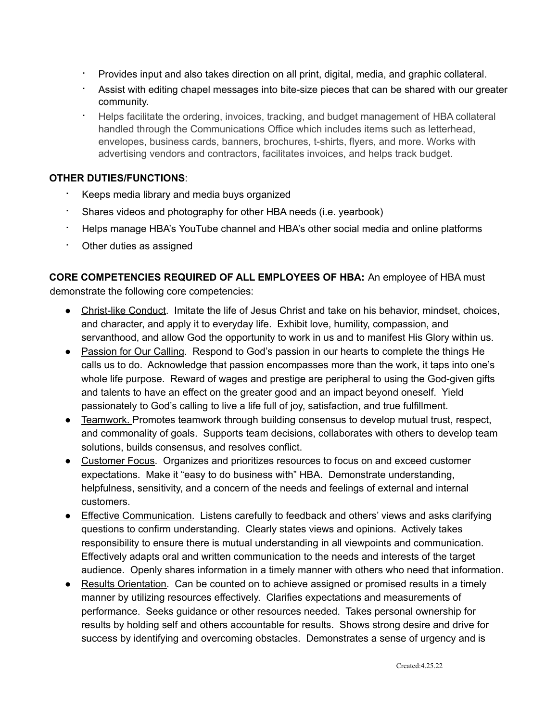- ∙ Provides input and also takes direction on all print, digital, media, and graphic collateral.
- ∙ Assist with editing chapel messages into bite-size pieces that can be shared with our greater community.
- ∙ Helps facilitate the ordering, invoices, tracking, and budget management of HBA collateral handled through the Communications Office which includes items such as letterhead, envelopes, business cards, banners, brochures, t-shirts, flyers, and more. Works with advertising vendors and contractors, facilitates invoices, and helps track budget.

#### **OTHER DUTIES/FUNCTIONS**:

- ∙ Keeps media library and media buys organized
- ∙ Shares videos and photography for other HBA needs (i.e. yearbook)
- ∙ Helps manage HBA's YouTube channel and HBA's other social media and online platforms
- ∙ Other duties as assigned

**CORE COMPETENCIES REQUIRED OF ALL EMPLOYEES OF HBA:** An employee of HBA must demonstrate the following core competencies:

- Christ-like Conduct. Imitate the life of Jesus Christ and take on his behavior, mindset, choices, and character, and apply it to everyday life. Exhibit love, humility, compassion, and servanthood, and allow God the opportunity to work in us and to manifest His Glory within us.
- Passion for Our Calling. Respond to God's passion in our hearts to complete the things He calls us to do. Acknowledge that passion encompasses more than the work, it taps into one's whole life purpose. Reward of wages and prestige are peripheral to using the God-given gifts and talents to have an effect on the greater good and an impact beyond oneself. Yield passionately to God's calling to live a life full of joy, satisfaction, and true fulfillment.
- Teamwork. Promotes teamwork through building consensus to develop mutual trust, respect, and commonality of goals. Supports team decisions, collaborates with others to develop team solutions, builds consensus, and resolves conflict.
- Customer Focus. Organizes and prioritizes resources to focus on and exceed customer expectations. Make it "easy to do business with" HBA. Demonstrate understanding, helpfulness, sensitivity, and a concern of the needs and feelings of external and internal customers.
- Effective Communication. Listens carefully to feedback and others' views and asks clarifying questions to confirm understanding. Clearly states views and opinions. Actively takes responsibility to ensure there is mutual understanding in all viewpoints and communication. Effectively adapts oral and written communication to the needs and interests of the target audience. Openly shares information in a timely manner with others who need that information.
- Results Orientation. Can be counted on to achieve assigned or promised results in a timely manner by utilizing resources effectively. Clarifies expectations and measurements of performance. Seeks guidance or other resources needed. Takes personal ownership for results by holding self and others accountable for results. Shows strong desire and drive for success by identifying and overcoming obstacles. Demonstrates a sense of urgency and is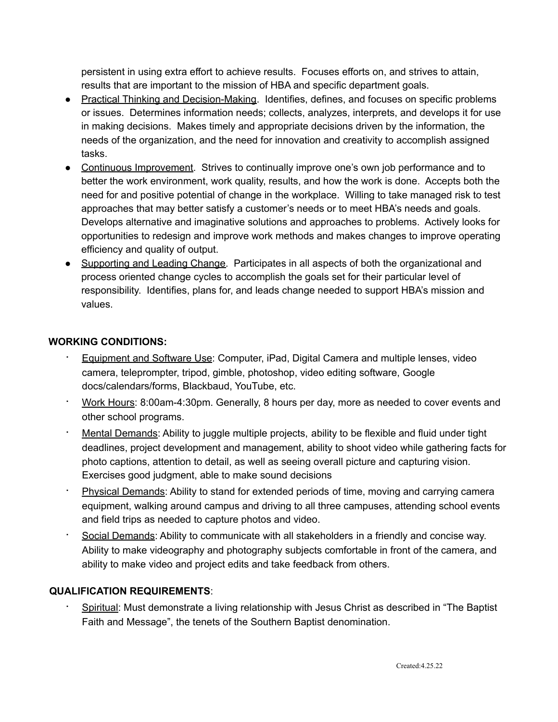persistent in using extra effort to achieve results. Focuses efforts on, and strives to attain, results that are important to the mission of HBA and specific department goals.

- Practical Thinking and Decision-Making. Identifies, defines, and focuses on specific problems or issues. Determines information needs; collects, analyzes, interprets, and develops it for use in making decisions. Makes timely and appropriate decisions driven by the information, the needs of the organization, and the need for innovation and creativity to accomplish assigned tasks.
- Continuous Improvement. Strives to continually improve one's own job performance and to better the work environment, work quality, results, and how the work is done. Accepts both the need for and positive potential of change in the workplace. Willing to take managed risk to test approaches that may better satisfy a customer's needs or to meet HBA's needs and goals. Develops alternative and imaginative solutions and approaches to problems. Actively looks for opportunities to redesign and improve work methods and makes changes to improve operating efficiency and quality of output.
- Supporting and Leading Change. Participates in all aspects of both the organizational and process oriented change cycles to accomplish the goals set for their particular level of responsibility. Identifies, plans for, and leads change needed to support HBA's mission and values.

## **WORKING CONDITIONS:**

- ∙ Equipment and Software Use: Computer, iPad, Digital Camera and multiple lenses, video camera, teleprompter, tripod, gimble, photoshop, video editing software, Google docs/calendars/forms, Blackbaud, YouTube, etc.
- ∙ Work Hours: 8:00am-4:30pm. Generally, 8 hours per day, more as needed to cover events and other school programs.
- ∙ Mental Demands: Ability to juggle multiple projects, ability to be flexible and fluid under tight deadlines, project development and management, ability to shoot video while gathering facts for photo captions, attention to detail, as well as seeing overall picture and capturing vision. Exercises good judgment, able to make sound decisions
- Physical Demands: Ability to stand for extended periods of time, moving and carrying camera equipment, walking around campus and driving to all three campuses, attending school events and field trips as needed to capture photos and video.
- ∙ Social Demands: Ability to communicate with all stakeholders in a friendly and concise way. Ability to make videography and photography subjects comfortable in front of the camera, and ability to make video and project edits and take feedback from others.

## **QUALIFICATION REQUIREMENTS**:

∙ Spiritual: Must demonstrate a living relationship with Jesus Christ as described in "The Baptist Faith and Message", the tenets of the Southern Baptist denomination.